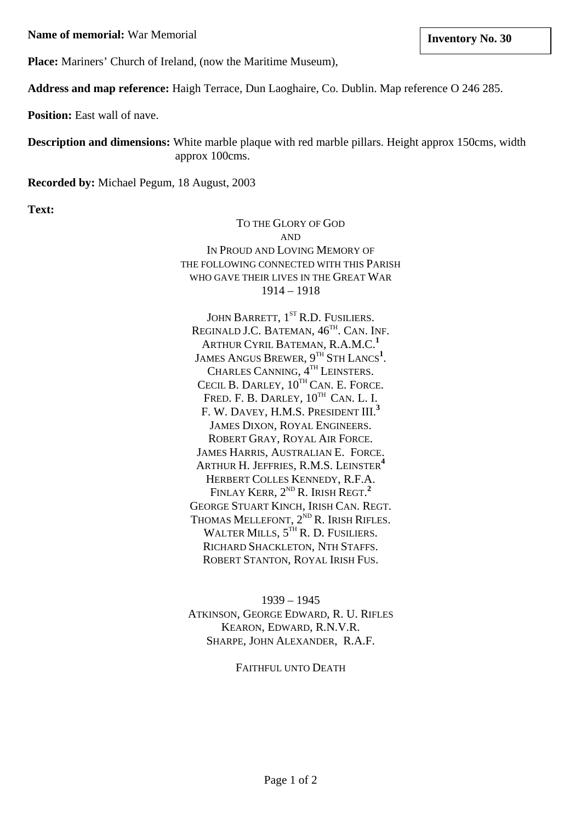**Name of memorial:** War Memorial **Inventory No. 30 linux in the linux in the linux in the linux in the linux in the linux in the linux in the linux in the linux in the linux in the linux in the linux in the linux in the** 

**Place:** Mariners' Church of Ireland, (now the Maritime Museum),

**Address and map reference:** Haigh Terrace, Dun Laoghaire, Co. Dublin. Map reference O 246 285.

**Position:** East wall of nave.

**Description and dimensions:** White marble plaque with red marble pillars. Height approx 150cms, width approx 100cms.

**Recorded by:** Michael Pegum, 18 August, 2003

**Text:**

TO THE GLORY OF GOD AND IN PROUD AND LOVING MEMORY OF THE FOLLOWING CONNECTED WITH THIS PARISH WHO GAVE THEIR LIVES IN THE GREAT WAR 1914 – 1918

JOHN BARRETT, 1<sup>st</sup> R.D. FUSILIERS. REGINALD J.C. BATEMAN,  $46<sup>TH</sup>$ . CAN. INF. ARTHUR CYRIL BATEMAN, R.A.M.C.**<sup>1</sup>** JAMES ANGUS BREWER, 9<sup>th</sup> Sth Lancs<sup>1</sup>. CHARLES CANNING,  $4^{TH}$  LEINSTERS. CECIL B. DARLEY,  $10^{TH}$  CAN. E. FORCE. FRED. F. B. DARLEY,  $10^{TH}$  CAN. L. I. F. W. DAVEY, H.M.S. PRESIDENT III.**<sup>3</sup>** JAMES DIXON, ROYAL ENGINEERS. ROBERT GRAY, ROYAL AIR FORCE. JAMES HARRIS, AUSTRALIAN E. FORCE. ARTHUR H. JEFFRIES, R.M.S. LEINSTER**<sup>4</sup>** HERBERT COLLES KENNEDY, R.F.A. FINLAY **K**ERR, 2<sup>nd</sup> R. Irish Regt.<sup>2</sup> GEORGE STUART KINCH, IRISH CAN. REGT. THOMAS MELLEFONT,  $2^{ND}$  R. IRISH RIFLES. WALTER MILLS,  $5^{TH}$  R. D. FUSILIERS. RICHARD SHACKLETON, NTH STAFFS. ROBERT STANTON, ROYAL IRISH FUS.

1939 – 1945 ATKINSON, GEORGE EDWARD, R. U. RIFLES KEARON, EDWARD, R.N.V.R. SHARPE, JOHN ALEXANDER, R.A.F.

FAITHFUL UNTO DEATH